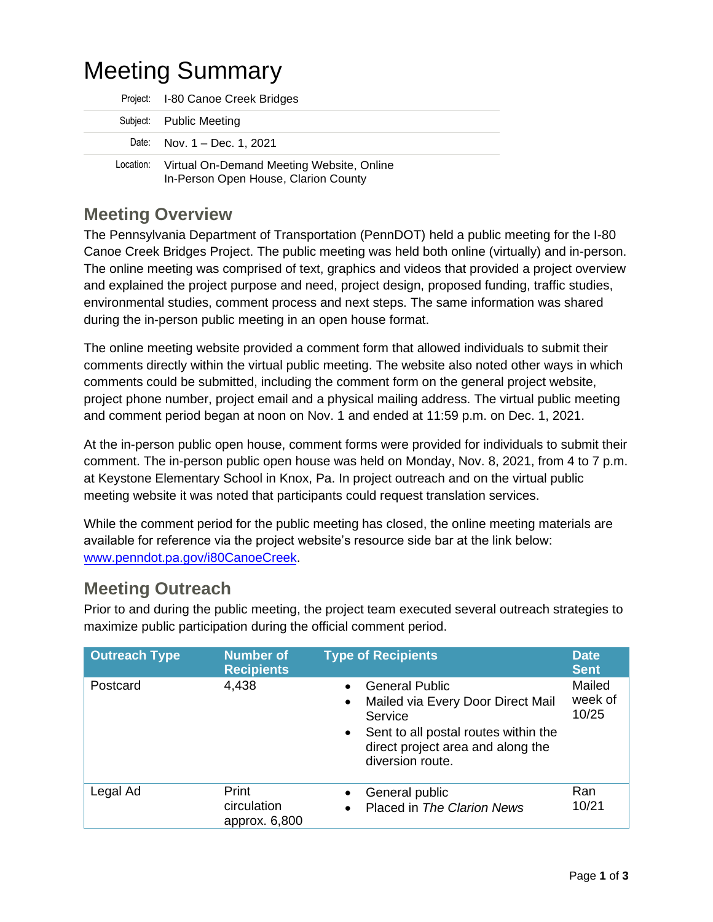# Meeting Summary

| Project: I-80 Canoe Creek Bridges                                                              |  |
|------------------------------------------------------------------------------------------------|--|
| Subject: Public Meeting                                                                        |  |
| Date: Nov. 1 - Dec. 1, 2021                                                                    |  |
| Virtual On-Demand Meeting Website, Online<br>Location:<br>In-Person Open House, Clarion County |  |

## **Meeting Overview**

The Pennsylvania Department of Transportation (PennDOT) held a public meeting for the I-80 Canoe Creek Bridges Project. The public meeting was held both online (virtually) and in-person. The online meeting was comprised of text, graphics and videos that provided a project overview and explained the project purpose and need, project design, proposed funding, traffic studies, environmental studies, comment process and next steps. The same information was shared during the in-person public meeting in an open house format.

The online meeting website provided a comment form that allowed individuals to submit their comments directly within the virtual public meeting. The website also noted other ways in which comments could be submitted, including the comment form on the general project website, project phone number, project email and a physical mailing address. The virtual public meeting and comment period began at noon on Nov. 1 and ended at 11:59 p.m. on Dec. 1, 2021.

At the in-person public open house, comment forms were provided for individuals to submit their comment. The in-person public open house was held on Monday, Nov. 8, 2021, from 4 to 7 p.m. at Keystone Elementary School in Knox, Pa. In project outreach and on the virtual public meeting website it was noted that participants could request translation services.

While the comment period for the public meeting has closed, the online meeting materials are available for reference via the project website's resource side bar at the link below: www.penndot.pa.[gov/i80CanoeCre](http://www.penndot.pa.gov/i80CanoeCreek)ek.

## **Meeting Outreach**

Prior to and during the public meeting, the project team executed several outreach strategies to maximize public participation during the official comment period.

| <b>Outreach Type</b> | <b>Number of</b><br><b>Recipients</b> | <b>Type of Recipients</b>                                                                                                                                                                | <b>Date</b><br><b>Sent</b> |
|----------------------|---------------------------------------|------------------------------------------------------------------------------------------------------------------------------------------------------------------------------------------|----------------------------|
| Postcard             | 4,438                                 | <b>General Public</b><br>Mailed via Every Door Direct Mail<br>٠<br>Service<br>Sent to all postal routes within the<br>$\bullet$<br>direct project area and along the<br>diversion route. | Mailed<br>week of<br>10/25 |
| Legal Ad             | Print<br>circulation<br>approx. 6,800 | General public<br>Placed in The Clarion News<br>$\bullet$                                                                                                                                | Ran<br>10/21               |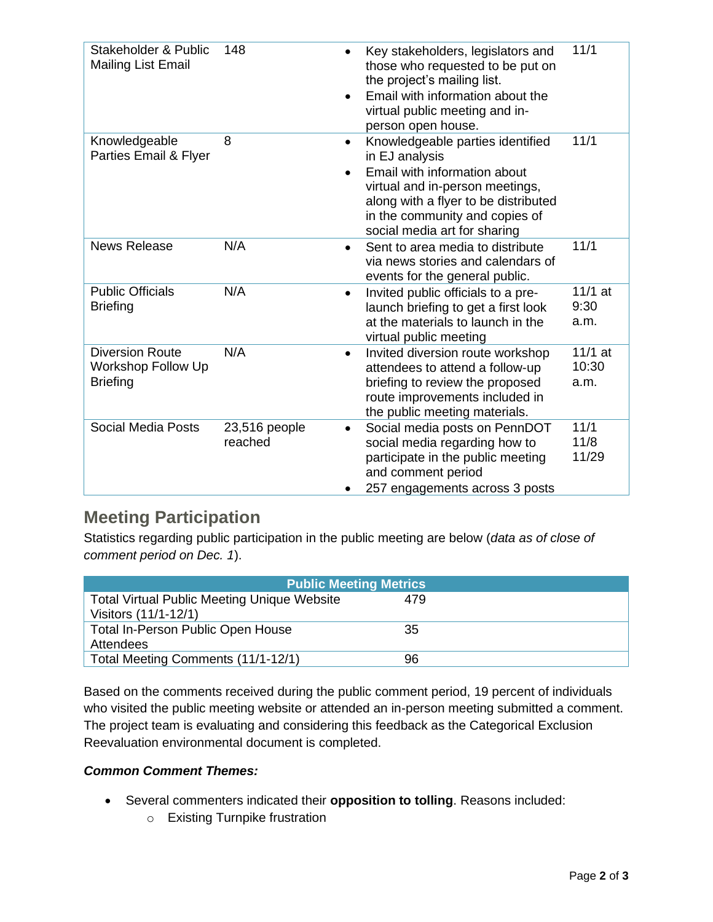| Stakeholder & Public<br><b>Mailing List Email</b>               | 148                      | Key stakeholders, legislators and<br>those who requested to be put on<br>the project's mailing list.<br>Email with information about the<br>virtual public meeting and in-<br>person open house.                                             | 11/1                       |
|-----------------------------------------------------------------|--------------------------|----------------------------------------------------------------------------------------------------------------------------------------------------------------------------------------------------------------------------------------------|----------------------------|
| Knowledgeable<br>Parties Email & Flyer                          | 8                        | Knowledgeable parties identified<br>$\bullet$<br>in EJ analysis<br>Email with information about<br>virtual and in-person meetings,<br>along with a flyer to be distributed<br>in the community and copies of<br>social media art for sharing | 11/1                       |
| <b>News Release</b>                                             | N/A                      | Sent to area media to distribute<br>via news stories and calendars of<br>events for the general public.                                                                                                                                      | 11/1                       |
| <b>Public Officials</b><br><b>Briefing</b>                      | N/A                      | Invited public officials to a pre-<br>$\bullet$<br>launch briefing to get a first look<br>at the materials to launch in the<br>virtual public meeting                                                                                        | $11/1$ at<br>9:30<br>a.m.  |
| <b>Diversion Route</b><br>Workshop Follow Up<br><b>Briefing</b> | N/A                      | Invited diversion route workshop<br>attendees to attend a follow-up<br>briefing to review the proposed<br>route improvements included in<br>the public meeting materials.                                                                    | $11/1$ at<br>10:30<br>a.m. |
| <b>Social Media Posts</b>                                       | 23,516 people<br>reached | Social media posts on PennDOT<br>social media regarding how to<br>participate in the public meeting<br>and comment period<br>257 engagements across 3 posts                                                                                  | 11/1<br>11/8<br>11/29      |

## **Meeting Participation**

Statistics regarding public participation in the public meeting are below (*data as of close of comment period on Dec. 1*).

| <b>Public Meeting Metrics</b>                      |     |  |  |  |  |
|----------------------------------------------------|-----|--|--|--|--|
| <b>Total Virtual Public Meeting Unique Website</b> | 479 |  |  |  |  |
| Visitors (11/1-12/1)                               |     |  |  |  |  |
| <b>Total In-Person Public Open House</b>           | 35  |  |  |  |  |
| Attendees                                          |     |  |  |  |  |
| Total Meeting Comments (11/1-12/1)                 | 96  |  |  |  |  |

Based on the comments received during the public comment period, 19 percent of individuals who visited the public meeting website or attended an in-person meeting submitted a comment. The project team is evaluating and considering this feedback as the Categorical Exclusion Reevaluation environmental document is completed.

### *Common Comment Themes:*

- Several commenters indicated their **opposition to tolling**. Reasons included:
	- o Existing Turnpike frustration